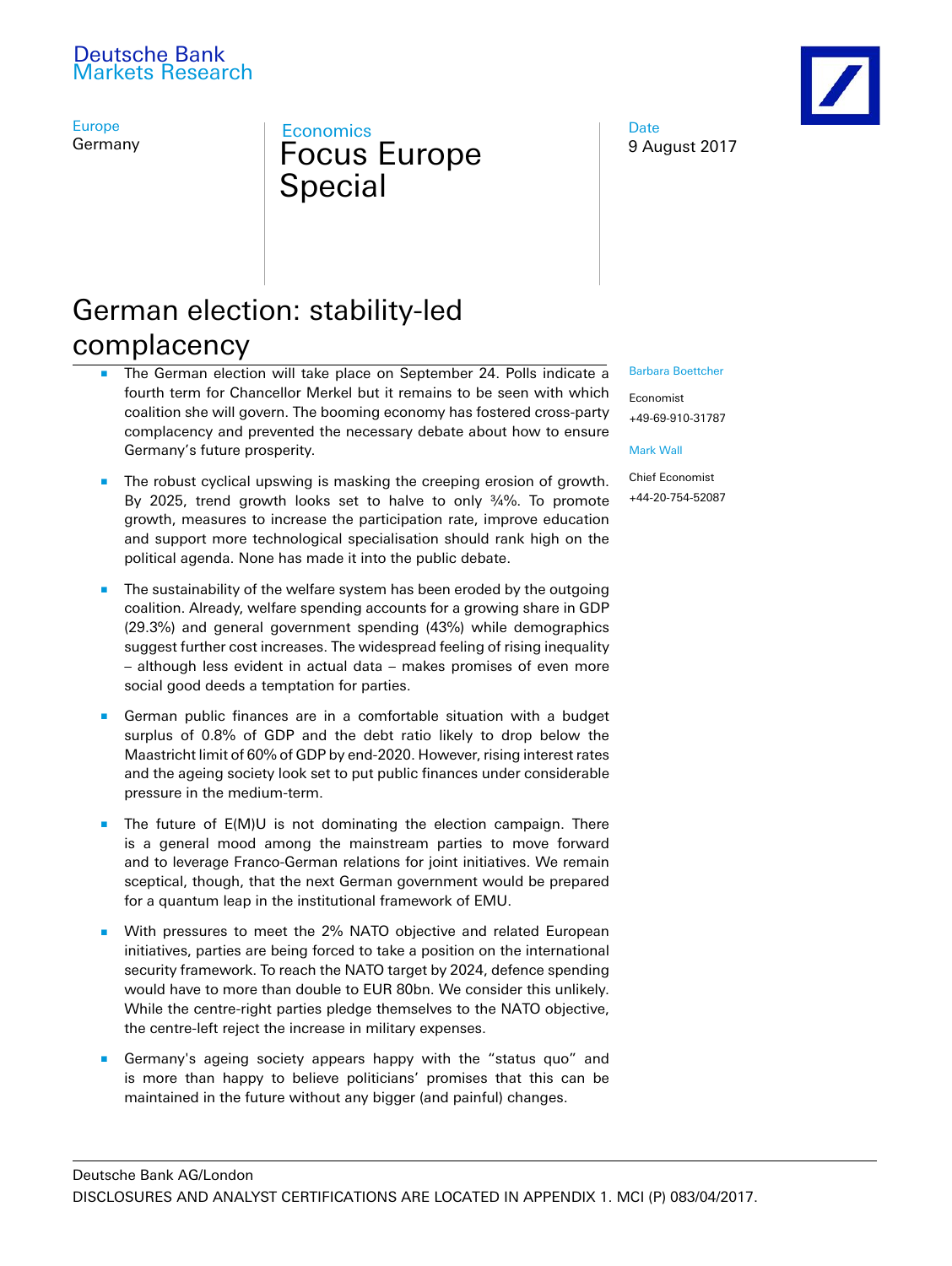# Deutsche Bank Markets Research

Europe Germany

# **Economics** Focus Europe Special

Date 9 August 2017

# German election: stability-led complacency

- The German election will take place on September 24. Polls indicate a fourth term for Chancellor Merkel but it remains to be seen with which coalition she will govern. The booming economy has fostered cross-party complacency and prevented the necessary debate about how to ensure Germany's future prosperity.
- The robust cyclical upswing is masking the creeping erosion of growth. By 2025, trend growth looks set to halve to only ¾%. To promote growth, measures to increase the participation rate, improve education and support more technological specialisation should rank high on the political agenda. None has made it into the public debate.
- The sustainability of the welfare system has been eroded by the outgoing coalition. Already, welfare spending accounts for a growing share in GDP (29.3%) and general government spending (43%) while demographics suggest further cost increases. The widespread feeling of rising inequality – although less evident in actual data – makes promises of even more social good deeds a temptation for parties.
- German public finances are in a comfortable situation with a budget surplus of 0.8% of GDP and the debt ratio likely to drop below the Maastricht limit of 60% of GDP by end-2020. However, rising interest rates and the ageing society look set to put public finances under considerable pressure in the medium-term.
- The future of E(M)U is not dominating the election campaign. There is a general mood among the mainstream parties to move forward and to leverage Franco-German relations for joint initiatives. We remain sceptical, though, that the next German government would be prepared for a quantum leap in the institutional framework of EMU.
- With pressures to meet the 2% NATO objective and related European initiatives, parties are being forced to take a position on the international security framework. To reach the NATO target by 2024, defence spending would have to more than double to EUR 80bn. We consider this unlikely. While the centre-right parties pledge themselves to the NATO objective, the centre-left reject the increase in military expenses.
- Germany's ageing society appears happy with the "status quo" and is more than happy to believe politicians' promises that this can be maintained in the future without any bigger (and painful) changes.

#### Barbara [Boettcher](mailto:barbara.boettcher@db.com)

Economist +49-69-910-31787

#### [Mark](mailto:mark.wall@db.com) Wall

Chief Economist +44-20-754-52087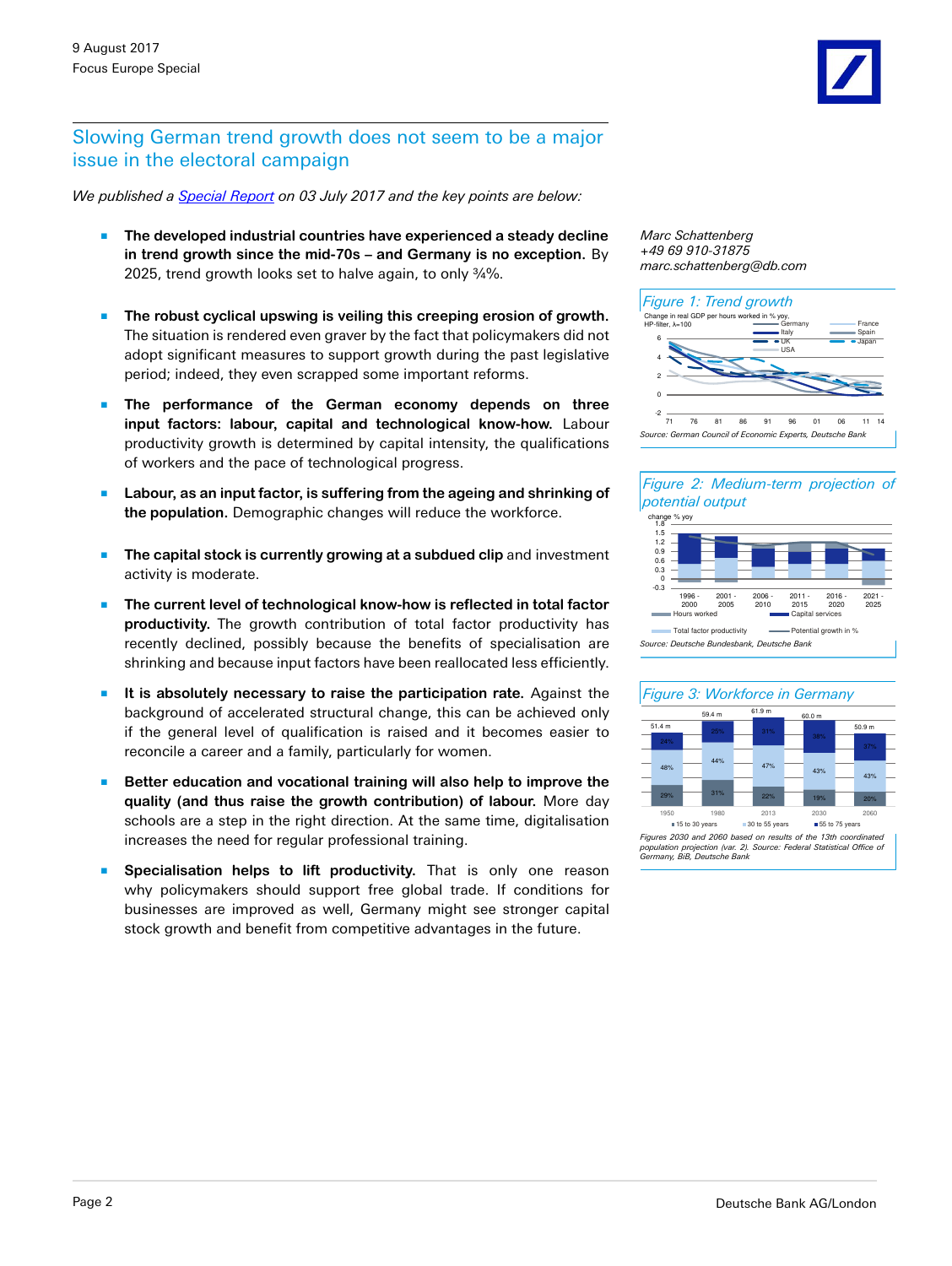#### Slowing German trend growth does not seem to be a major issue in the electoral campaign

*We published a [Special Report](https://www.dbresearch.com/PROD/DBR_INTERNET_EN-PROD/PROD0000000000447319/Slowing_German_trend_growth_does_not_seem_to_be_a_.pdf) on 03 July 2017 and the key points are below:*

- The developed industrial countries have experienced a steady decline **in trend growth since the mid-70s – and Germany is no exception.** By 2025, trend growth looks set to halve again, to only ¾%.
- The robust cyclical upswing is veiling this creeping erosion of growth. The situation is rendered even graver by the fact that policymakers did not adopt significant measures to support growth during the past legislative period; indeed, they even scrapped some important reforms.
- The performance of the German economy depends on three **input factors: labour, capital and technological know-how.** Labour productivity growth is determined by capital intensity, the qualifications of workers and the pace of technological progress.
- Labour, as an input factor, is suffering from the ageing and shrinking of **the population.** Demographic changes will reduce the workforce.
- The capital stock is currently growing at a subdued clip and investment activity is moderate.
- The current level of technological know-how is reflected in total factor **productivity.** The growth contribution of total factor productivity has recently declined, possibly because the benefits of specialisation are shrinking and because input factors have been reallocated less efficiently.
- It is absolutely necessary to raise the participation rate. Against the background of accelerated structural change, this can be achieved only if the general level of qualification is raised and it becomes easier to reconcile a career and a family, particularly for women.
- Better education and vocational training will also help to improve the **quality (and thus raise the growth contribution) of labour.** More day schools are a step in the right direction. At the same time, digitalisation increases the need for regular professional training.
- **B** Specialisation helps to lift productivity. That is only one reason why policymakers should support free global trade. If conditions for businesses are improved as well, Germany might see stronger capital stock growth and benefit from competitive advantages in the future.









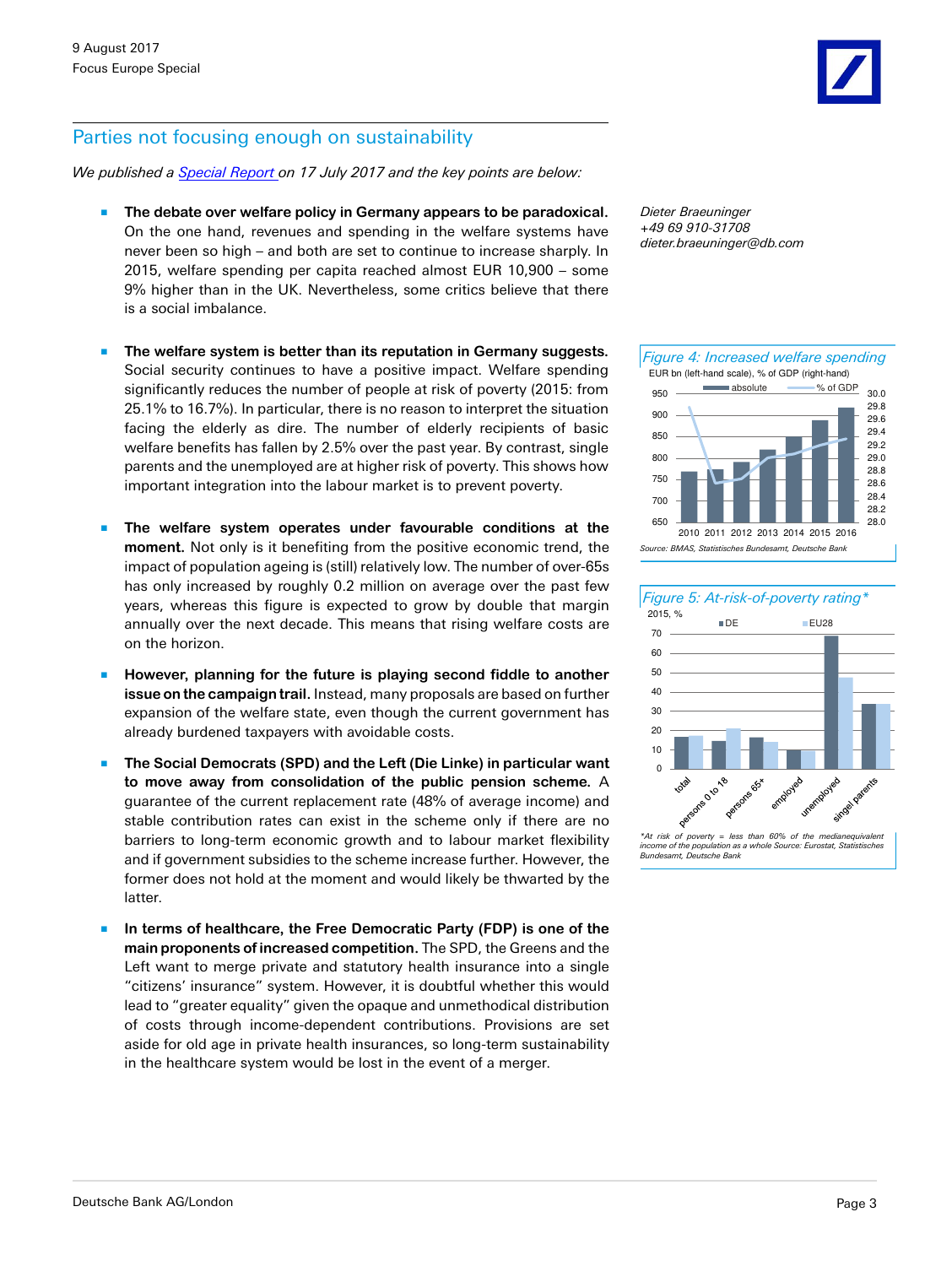# Parties not focusing enough on sustainability

*We published a [Special Report](https://www.dbresearch.com/PROD/DBR_INTERNET_EN-PROD/PROD0000000000447408/Parties_not_focusing_enough_on_sustainability.pdf) on 17 July 2017 and the key points are below:*

- The debate over welfare policy in Germany appears to be paradoxical. On the one hand, revenues and spending in the welfare systems have never been so high – and both are set to continue to increase sharply. In 2015, welfare spending per capita reached almost EUR 10,900 – some 9% higher than in the UK. Nevertheless, some critics believe that there is a social imbalance.
- The welfare system is better than its reputation in Germany suggests. Social security continues to have a positive impact. Welfare spending significantly reduces the number of people at risk of poverty (2015: from 25.1% to 16.7%). In particular, there is no reason to interpret the situation facing the elderly as dire. The number of elderly recipients of basic welfare benefits has fallen by 2.5% over the past year. By contrast, single parents and the unemployed are at higher risk of poverty. This shows how important integration into the labour market is to prevent poverty.
- The welfare system operates under favourable conditions at the **moment.** Not only is it benefiting from the positive economic trend, the impact of population ageing is (still) relatively low. The number of over-65s has only increased by roughly 0.2 million on average over the past few years, whereas this figure is expected to grow by double that margin annually over the next decade. This means that rising welfare costs are on the horizon.
- However, planning for the future is playing second fiddle to another **issue on the campaign trail.** Instead, many proposals are based on further expansion of the welfare state, even though the current government has already burdened taxpayers with avoidable costs.
- The Social Democrats (SPD) and the Left (Die Linke) in particular want **to move away from consolidation of the public pension scheme.** A guarantee of the current replacement rate (48% of average income) and stable contribution rates can exist in the scheme only if there are no barriers to long-term economic growth and to labour market flexibility and if government subsidies to the scheme increase further. However, the former does not hold at the moment and would likely be thwarted by the latter.
- In terms of healthcare, the Free Democratic Party (FDP) is one of the **main proponents of increased competition.** The SPD, the Greens and the Left want to merge private and statutory health insurance into a single "citizens' insurance" system. However, it is doubtful whether this would lead to "greater equality" given the opaque and unmethodical distribution of costs through income-dependent contributions. Provisions are set aside for old age in private health insurances, so long-term sustainability in the healthcare system would be lost in the event of a merger.

*Dieter Braeuninger +49 69 910-31708 dieter.braeuninger@db.com*



![](_page_2_Figure_11.jpeg)

*<sup>\*</sup>At risk of poverty = less than 60% of the medianequivalent income of the population as a whole Source: Eurostat, Statistisches Bundesamt, Deutsche Bank*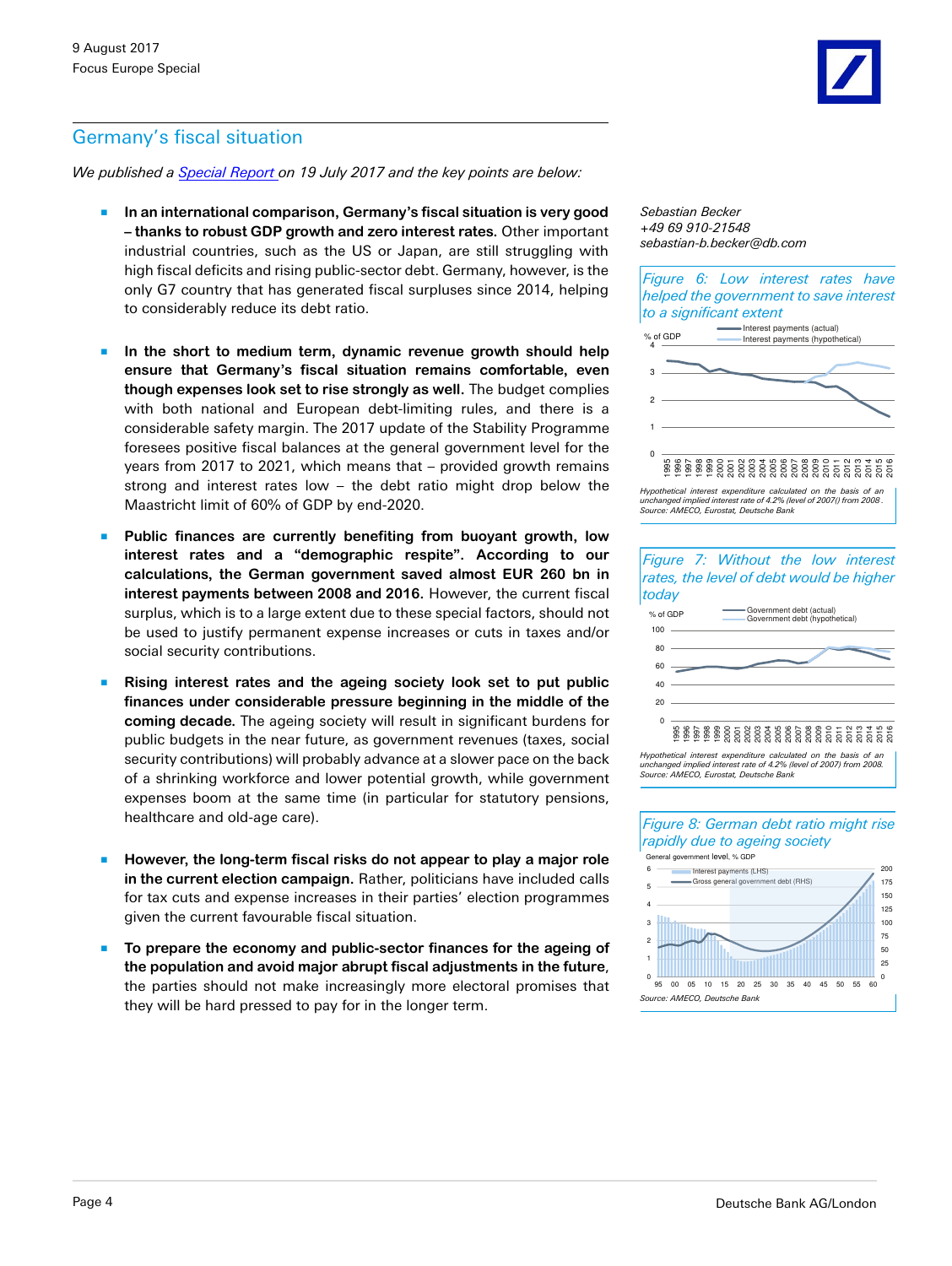# Germany's fiscal situation

*We published a [Special Report](https://www.dbresearch.com/PROD/DBR_INTERNET_EN-PROD/PROD0000000000447638/Germany%E2%80%99s_fiscal_situation%3A_Full_employment_and_ze.pdf) on 19 July 2017 and the key points are below:*

- **In an international comparison, Germany's fiscal situation is very good – thanks to robust GDP growth and zero interest rates.** Other important industrial countries, such as the US or Japan, are still struggling with high fiscal deficits and rising public-sector debt. Germany, however, is the only G7 country that has generated fiscal surpluses since 2014, helping to considerably reduce its debt ratio.
- In the short to medium term, dynamic revenue growth should help **ensure that Germany's fiscal situation remains comfortable, even though expenses look set to rise strongly as well.** The budget complies with both national and European debt-limiting rules, and there is a considerable safety margin. The 2017 update of the Stability Programme foresees positive fiscal balances at the general government level for the years from 2017 to 2021, which means that – provided growth remains strong and interest rates low – the debt ratio might drop below the Maastricht limit of 60% of GDP by end-2020.
- Public finances are currently benefiting from buoyant growth, low **interest rates and a "demographic respite". According to our calculations, the German government saved almost EUR 260 bn in interest payments between 2008 and 2016.** However, the current fiscal surplus, which is to a large extent due to these special factors, should not be used to justify permanent expense increases or cuts in taxes and/or social security contributions.
- **Rising interest rates and the ageing society look set to put public finances under considerable pressure beginning in the middle of the coming decade.** The ageing society will result in significant burdens for public budgets in the near future, as government revenues (taxes, social security contributions) will probably advance at a slower pace on the back of a shrinking workforce and lower potential growth, while government expenses boom at the same time (in particular for statutory pensions, healthcare and old-age care).
- However, the long-term fiscal risks do not appear to play a major role **in the current election campaign.** Rather, politicians have included calls for tax cuts and expense increases in their parties' election programmes given the current favourable fiscal situation.
- To prepare the economy and public-sector finances for the ageing of **the population and avoid major abrupt fiscal adjustments in the future**, the parties should not make increasingly more electoral promises that they will be hard pressed to pay for in the longer term.

*Sebastian Becker +49 69 910-21548 sebastian-b.becker@db.com*

*Figure 6: Low interest rates have helped the government to save interest to a significant extent*

![](_page_3_Figure_11.jpeg)

*Hypothetical interest expenditure calculated on the basis of an* unchanged implied interest rate of 4.2% (level of 2007() from 2008 .<br>Source: AMECO, Eurostat, Deutsche Bank

![](_page_3_Figure_13.jpeg)

100 125 150 175 200 3 4 5 6 Interest payments (LHS) Gross general government debt (RHS) General government level, % GDP

![](_page_3_Figure_15.jpeg)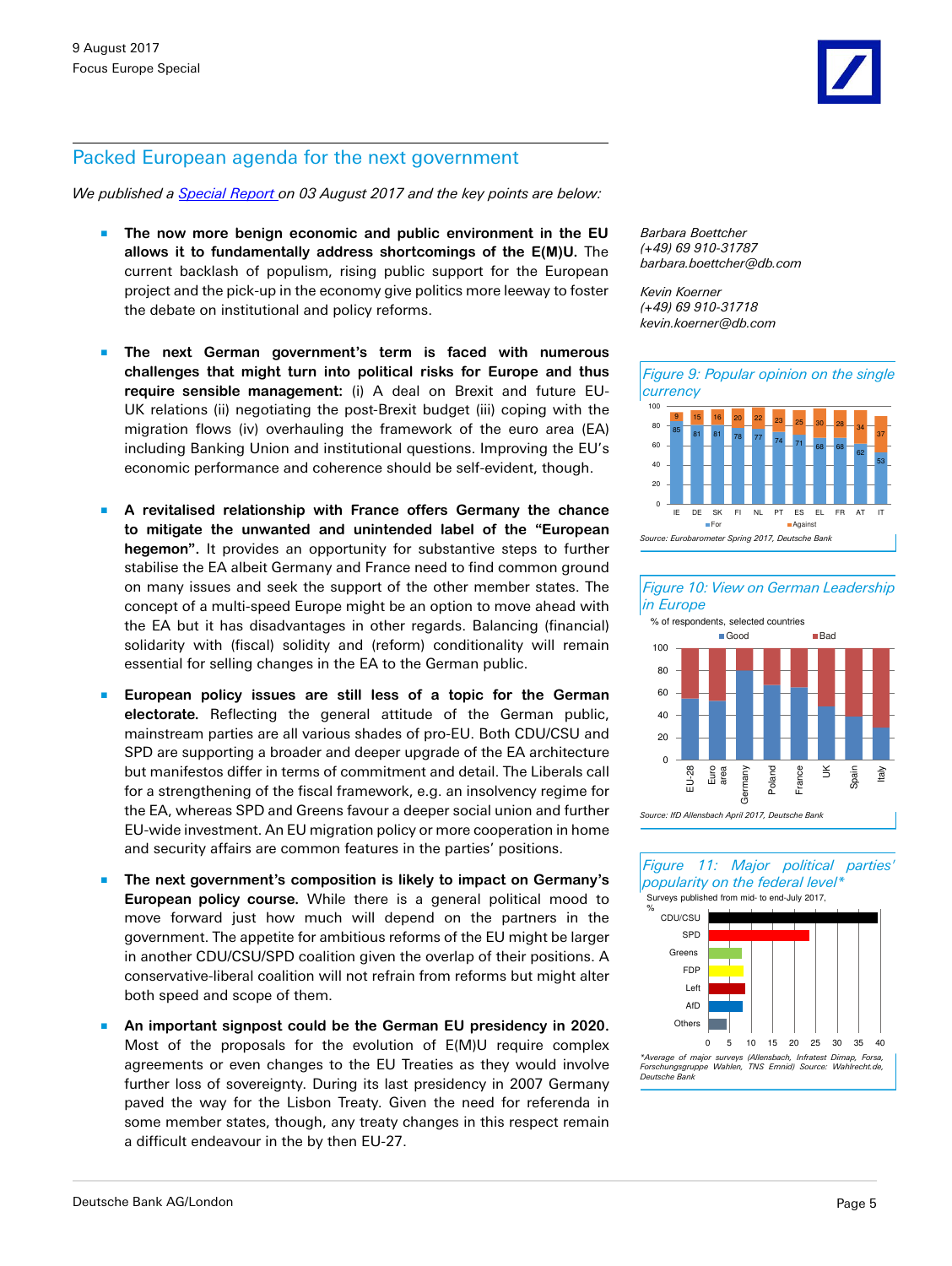#### Packed European agenda for the next government

*We published a [Special Report](https://www.dbresearch.com/PROD/DBR_INTERNET_EN-PROD/PROD0000000000448426/Packed_European_agenda_for_the_next_government%3A_Nu.pdf) on 03 August 2017 and the key points are below:*

- The now more benign economic and public environment in the EU **allows it to fundamentally address shortcomings of the E(M)U.** The current backlash of populism, rising public support for the European project and the pick-up in the economy give politics more leeway to foster the debate on institutional and policy reforms.
- The next German government's term is faced with numerous **challenges that might turn into political risks for Europe and thus require sensible management:** (i) A deal on Brexit and future EU-UK relations (ii) negotiating the post-Brexit budget (iii) coping with the migration flows (iv) overhauling the framework of the euro area (EA) including Banking Union and institutional questions. Improving the EU's economic performance and coherence should be self-evident, though.
- A revitalised relationship with France offers Germany the chance **to mitigate the unwanted and unintended label of the "European hegemon".** It provides an opportunity for substantive steps to further stabilise the EA albeit Germany and France need to find common ground on many issues and seek the support of the other member states. The concept of a multi-speed Europe might be an option to move ahead with the EA but it has disadvantages in other regards. Balancing (financial) solidarity with (fiscal) solidity and (reform) conditionality will remain essential for selling changes in the EA to the German public.
- European policy issues are still less of a topic for the German **electorate.** Reflecting the general attitude of the German public, mainstream parties are all various shades of pro-EU. Both CDU/CSU and SPD are supporting a broader and deeper upgrade of the EA architecture but manifestos differ in terms of commitment and detail. The Liberals call for a strengthening of the fiscal framework, e.g. an insolvency regime for the EA, whereas SPD and Greens favour a deeper social union and further EU-wide investment. An EU migration policy or more cooperation in home and security affairs are common features in the parties' positions.
- The next government's composition is likely to impact on Germany's **European policy course.** While there is a general political mood to move forward just how much will depend on the partners in the government. The appetite for ambitious reforms of the EU might be larger in another CDU/CSU/SPD coalition given the overlap of their positions. A conservative-liberal coalition will not refrain from reforms but might alter both speed and scope of them.
- An important signpost could be the German EU presidency in 2020. Most of the proposals for the evolution of E(M)U require complex agreements or even changes to the EU Treaties as they would involve further loss of sovereignty. During its last presidency in 2007 Germany paved the way for the Lisbon Treaty. Given the need for referenda in some member states, though, any treaty changes in this respect remain a difficult endeavour in the by then EU-27.

*Barbara Boettcher (+49) 69 910-31787 barbara.boettcher@db.com*

*Kevin Koerner (+49) 69 910-31718 kevin.koerner@db.com*

![](_page_4_Figure_12.jpeg)

![](_page_4_Figure_13.jpeg)

![](_page_4_Figure_14.jpeg)

*Figure 11: Major political parties' popularity on the federal level\**

![](_page_4_Figure_16.jpeg)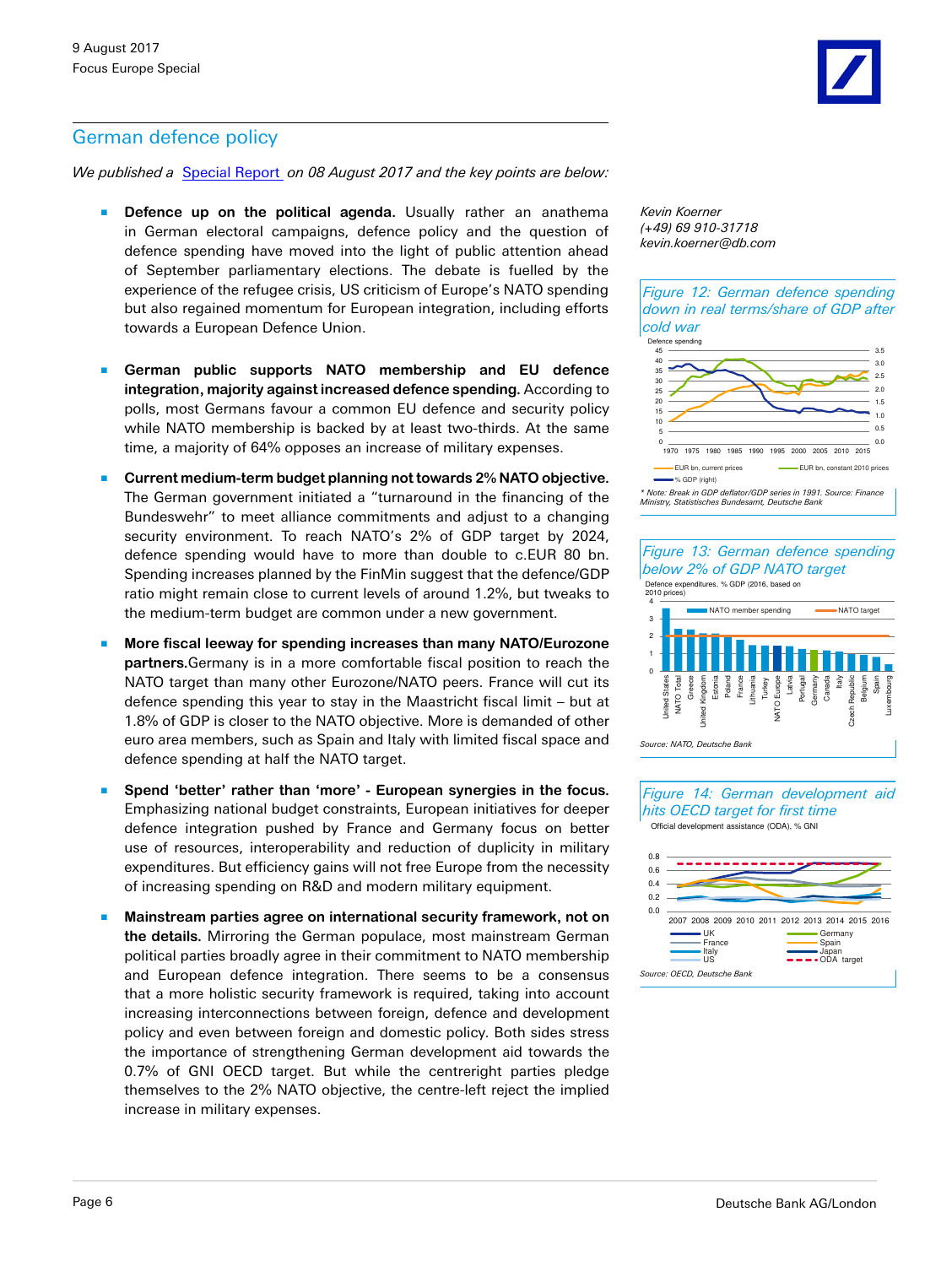*We published a* [Special Report](https://www.dbresearch.com/PROD/DBR_INTERNET_EN-PROD/PROD0000000000448817/German_defence_policy%3A_Towards_a_more_integrated_s.pdf) *on 08 August 2017 and the key points are below:*

- **Defence up on the political agenda.** Usually rather an anathema in German electoral campaigns, defence policy and the question of defence spending have moved into the light of public attention ahead of September parliamentary elections. The debate is fuelled by the experience of the refugee crisis, US criticism of Europe's NATO spending but also regained momentum for European integration, including efforts towards a European Defence Union.
- German public supports NATO membership and EU defence **integration, majority against increased defence spending.** According to polls, most Germans favour a common EU defence and security policy while NATO membership is backed by at least two-thirds. At the same time, a majority of 64% opposes an increase of military expenses.
- Current medium-term budget planning not towards 2% NATO objective. The German government initiated a "turnaround in the financing of the Bundeswehr" to meet alliance commitments and adjust to a changing security environment. To reach NATO's 2% of GDP target by 2024, defence spending would have to more than double to c.EUR 80 bn. Spending increases planned by the FinMin suggest that the defence/GDP ratio might remain close to current levels of around 1.2%, but tweaks to the medium-term budget are common under a new government.
- More fiscal leeway for spending increases than many NATO/Eurozone **partners.**Germany is in a more comfortable fiscal position to reach the NATO target than many other Eurozone/NATO peers. France will cut its defence spending this year to stay in the Maastricht fiscal limit – but at 1.8% of GDP is closer to the NATO objective. More is demanded of other euro area members, such as Spain and Italy with limited fiscal space and defence spending at half the NATO target.
- Spend 'better' rather than 'more' European synergies in the focus. Emphasizing national budget constraints, European initiatives for deeper defence integration pushed by France and Germany focus on better use of resources, interoperability and reduction of duplicity in military expenditures. But efficiency gains will not free Europe from the necessity of increasing spending on R&D and modern military equipment.
- **Mainstream parties agree on international security framework, not on the details.** Mirroring the German populace, most mainstream German political parties broadly agree in their commitment to NATO membership and European defence integration. There seems to be a consensus that a more holistic security framework is required, taking into account increasing interconnections between foreign, defence and development policy and even between foreign and domestic policy. Both sides stress the importance of strengthening German development aid towards the 0.7% of GNI OECD target. But while the centreright parties pledge themselves to the 2% NATO objective, the centre-left reject the implied increase in military expenses.

*Kevin Koerner (+49) 69 910-31718 kevin.koerner@db.com*

*Figure 12: German defence spending down in real terms/share of GDP after cold war*

![](_page_5_Figure_11.jpeg)

![](_page_5_Figure_12.jpeg)

# *Figure 13: German defence spending below 2% of GDP NATO target*

![](_page_5_Figure_14.jpeg)

![](_page_5_Figure_15.jpeg)

*Figure 14: German development aid hits OECD target for first time* Official development assistance (ODA), % GNI

![](_page_5_Figure_17.jpeg)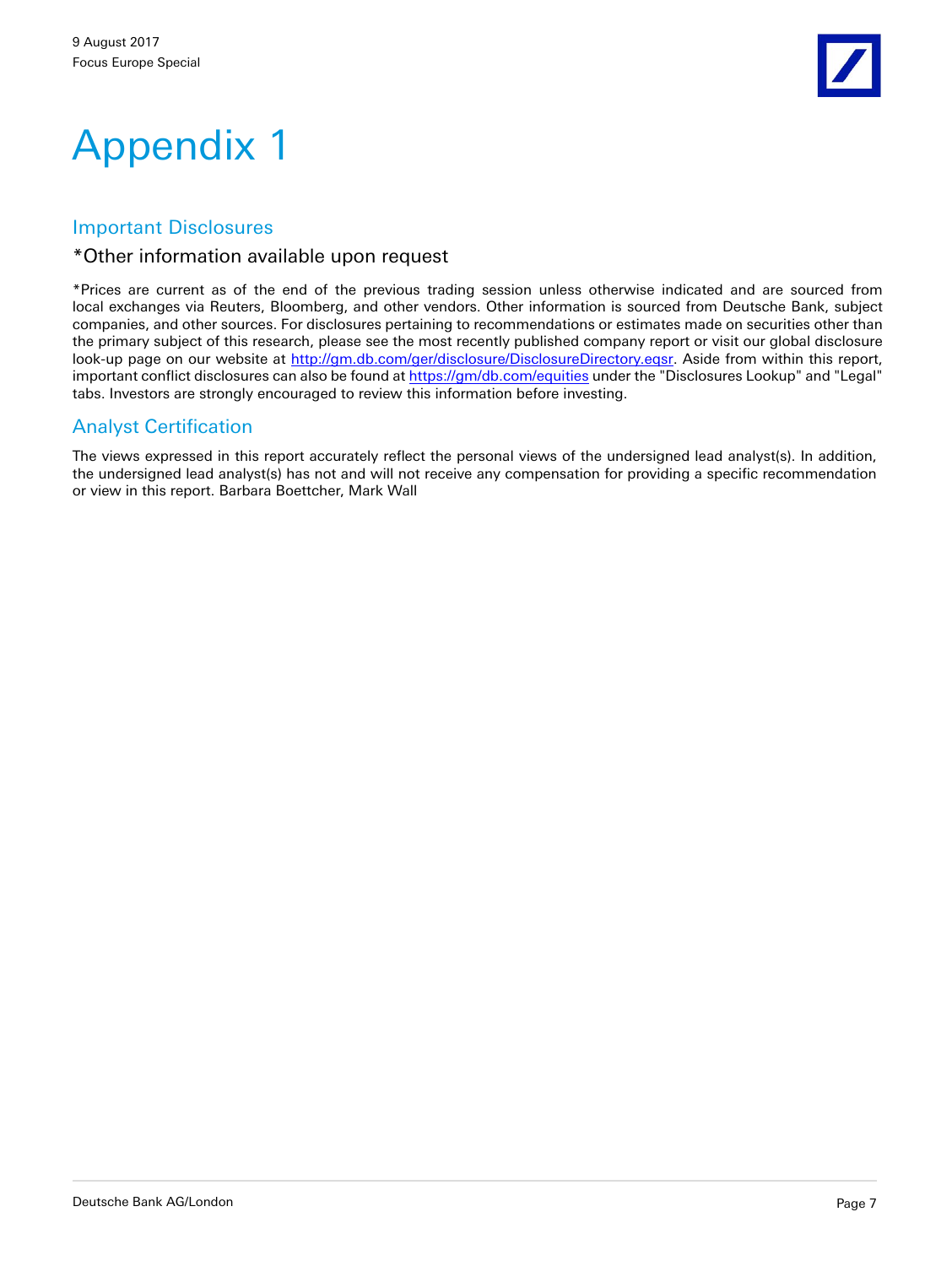![](_page_6_Picture_1.jpeg)

# Appendix 1

#### Important Disclosures

#### \*Other information available upon request

\*Prices are current as of the end of the previous trading session unless otherwise indicated and are sourced from local exchanges via Reuters, Bloomberg, and other vendors. Other information is sourced from Deutsche Bank, subject companies, and other sources. For disclosures pertaining to recommendations or estimates made on securities other than the primary subject of this research, please see the most recently published company report or visit our global disclosure look-up page on our website at <http://gm.db.com/ger/disclosure/DisclosureDirectory.eqsr>. Aside from within this report, important conflict disclosures can also be found at [https://gm/db.com/equities](https://gm.db.com/equities) under the "Disclosures Lookup" and "Legal" tabs. Investors are strongly encouraged to review this information before investing.

# Analyst Certification

The views expressed in this report accurately reflect the personal views of the undersigned lead analyst(s). In addition, the undersigned lead analyst(s) has not and will not receive any compensation for providing a specific recommendation or view in this report. Barbara Boettcher, Mark Wall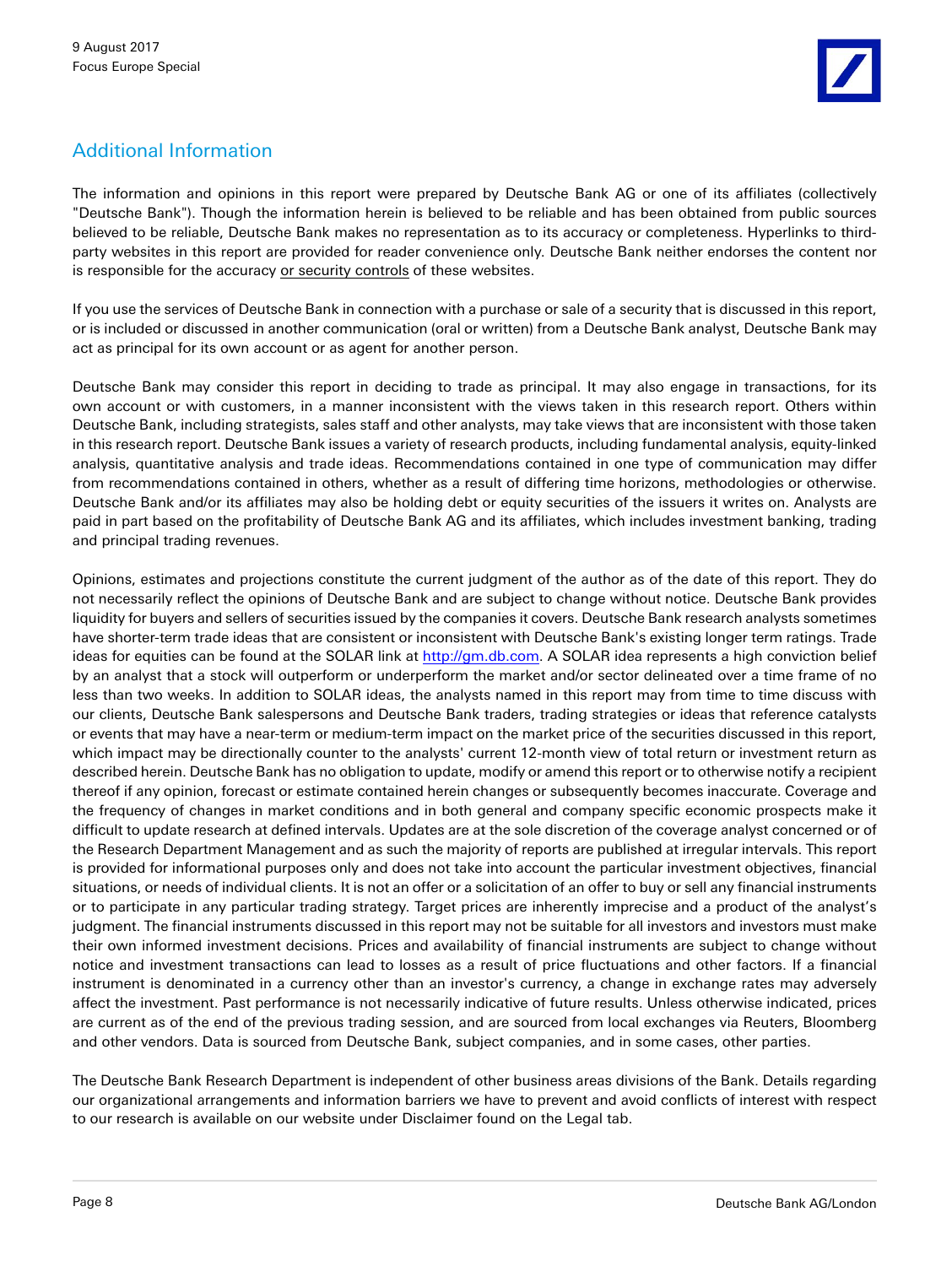# Additional Information

The information and opinions in this report were prepared by Deutsche Bank AG or one of its affiliates (collectively "Deutsche Bank"). Though the information herein is believed to be reliable and has been obtained from public sources believed to be reliable, Deutsche Bank makes no representation as to its accuracy or completeness. Hyperlinks to thirdparty websites in this report are provided for reader convenience only. Deutsche Bank neither endorses the content nor is responsible for the accuracy or security controls of these websites.

If you use the services of Deutsche Bank in connection with a purchase or sale of a security that is discussed in this report, or is included or discussed in another communication (oral or written) from a Deutsche Bank analyst, Deutsche Bank may act as principal for its own account or as agent for another person.

Deutsche Bank may consider this report in deciding to trade as principal. It may also engage in transactions, for its own account or with customers, in a manner inconsistent with the views taken in this research report. Others within Deutsche Bank, including strategists, sales staff and other analysts, may take views that are inconsistent with those taken in this research report. Deutsche Bank issues a variety of research products, including fundamental analysis, equity-linked analysis, quantitative analysis and trade ideas. Recommendations contained in one type of communication may differ from recommendations contained in others, whether as a result of differing time horizons, methodologies or otherwise. Deutsche Bank and/or its affiliates may also be holding debt or equity securities of the issuers it writes on. Analysts are paid in part based on the profitability of Deutsche Bank AG and its affiliates, which includes investment banking, trading and principal trading revenues.

Opinions, estimates and projections constitute the current judgment of the author as of the date of this report. They do not necessarily reflect the opinions of Deutsche Bank and are subject to change without notice. Deutsche Bank provides liquidity for buyers and sellers of securities issued by the companies it covers. Deutsche Bank research analysts sometimes have shorter-term trade ideas that are consistent or inconsistent with Deutsche Bank's existing longer term ratings. Trade ideas for equities can be found at the SOLAR link at [http://gm.db.com](http://gm.db.com/). A SOLAR idea represents a high conviction belief by an analyst that a stock will outperform or underperform the market and/or sector delineated over a time frame of no less than two weeks. In addition to SOLAR ideas, the analysts named in this report may from time to time discuss with our clients, Deutsche Bank salespersons and Deutsche Bank traders, trading strategies or ideas that reference catalysts or events that may have a near-term or medium-term impact on the market price of the securities discussed in this report, which impact may be directionally counter to the analysts' current 12-month view of total return or investment return as described herein. Deutsche Bank has no obligation to update, modify or amend this report or to otherwise notify a recipient thereof if any opinion, forecast or estimate contained herein changes or subsequently becomes inaccurate. Coverage and the frequency of changes in market conditions and in both general and company specific economic prospects make it difficult to update research at defined intervals. Updates are at the sole discretion of the coverage analyst concerned or of the Research Department Management and as such the majority of reports are published at irregular intervals. This report is provided for informational purposes only and does not take into account the particular investment objectives, financial situations, or needs of individual clients. It is not an offer or a solicitation of an offer to buy or sell any financial instruments or to participate in any particular trading strategy. Target prices are inherently imprecise and a product of the analyst's judgment. The financial instruments discussed in this report may not be suitable for all investors and investors must make their own informed investment decisions. Prices and availability of financial instruments are subject to change without notice and investment transactions can lead to losses as a result of price fluctuations and other factors. If a financial instrument is denominated in a currency other than an investor's currency, a change in exchange rates may adversely affect the investment. Past performance is not necessarily indicative of future results. Unless otherwise indicated, prices are current as of the end of the previous trading session, and are sourced from local exchanges via Reuters, Bloomberg and other vendors. Data is sourced from Deutsche Bank, subject companies, and in some cases, other parties.

The Deutsche Bank Research Department is independent of other business areas divisions of the Bank. Details regarding our organizational arrangements and information barriers we have to prevent and avoid conflicts of interest with respect to our research is available on our website under Disclaimer found on the Legal tab.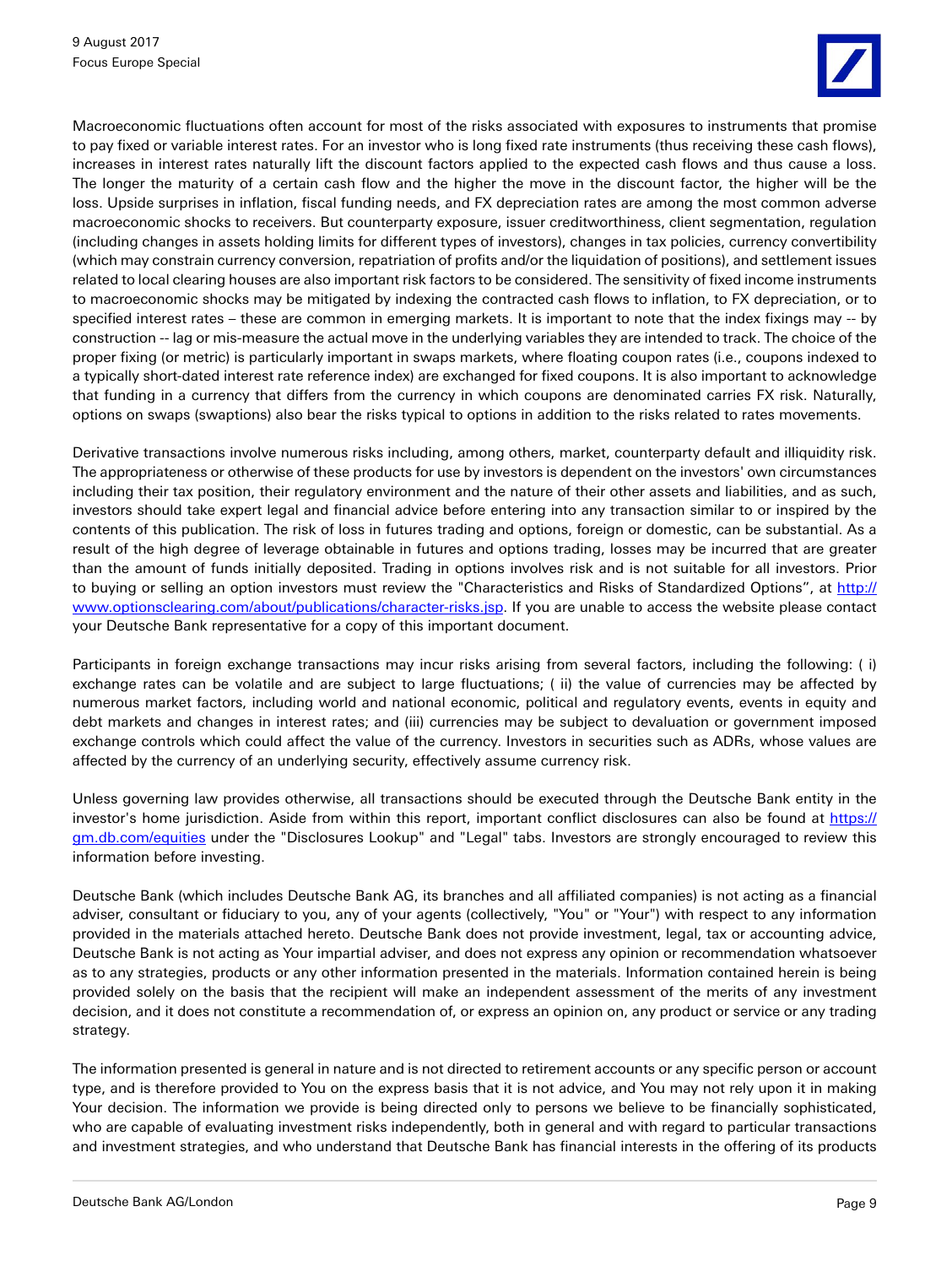![](_page_8_Picture_1.jpeg)

Macroeconomic fluctuations often account for most of the risks associated with exposures to instruments that promise to pay fixed or variable interest rates. For an investor who is long fixed rate instruments (thus receiving these cash flows), increases in interest rates naturally lift the discount factors applied to the expected cash flows and thus cause a loss. The longer the maturity of a certain cash flow and the higher the move in the discount factor, the higher will be the loss. Upside surprises in inflation, fiscal funding needs, and FX depreciation rates are among the most common adverse macroeconomic shocks to receivers. But counterparty exposure, issuer creditworthiness, client segmentation, regulation (including changes in assets holding limits for different types of investors), changes in tax policies, currency convertibility (which may constrain currency conversion, repatriation of profits and/or the liquidation of positions), and settlement issues related to local clearing houses are also important risk factors to be considered. The sensitivity of fixed income instruments to macroeconomic shocks may be mitigated by indexing the contracted cash flows to inflation, to FX depreciation, or to specified interest rates – these are common in emerging markets. It is important to note that the index fixings may -- by construction -- lag or mis-measure the actual move in the underlying variables they are intended to track. The choice of the proper fixing (or metric) is particularly important in swaps markets, where floating coupon rates (i.e., coupons indexed to a typically short-dated interest rate reference index) are exchanged for fixed coupons. It is also important to acknowledge that funding in a currency that differs from the currency in which coupons are denominated carries FX risk. Naturally, options on swaps (swaptions) also bear the risks typical to options in addition to the risks related to rates movements.

Derivative transactions involve numerous risks including, among others, market, counterparty default and illiquidity risk. The appropriateness or otherwise of these products for use by investors is dependent on the investors' own circumstances including their tax position, their regulatory environment and the nature of their other assets and liabilities, and as such, investors should take expert legal and financial advice before entering into any transaction similar to or inspired by the contents of this publication. The risk of loss in futures trading and options, foreign or domestic, can be substantial. As a result of the high degree of leverage obtainable in futures and options trading, losses may be incurred that are greater than the amount of funds initially deposited. Trading in options involves risk and is not suitable for all investors. Prior to buying or selling an option investors must review the "Characteristics and Risks of Standardized Options", at [http://](http://www.optionsclearing.com/about/publications/character-risks.jsp) [www.optionsclearing.com/about/publications/character-risks.jsp.](http://www.optionsclearing.com/about/publications/character-risks.jsp) If you are unable to access the website please contact your Deutsche Bank representative for a copy of this important document.

Participants in foreign exchange transactions may incur risks arising from several factors, including the following: ( i) exchange rates can be volatile and are subject to large fluctuations; ( ii) the value of currencies may be affected by numerous market factors, including world and national economic, political and regulatory events, events in equity and debt markets and changes in interest rates; and (iii) currencies may be subject to devaluation or government imposed exchange controls which could affect the value of the currency. Investors in securities such as ADRs, whose values are affected by the currency of an underlying security, effectively assume currency risk.

Unless governing law provides otherwise, all transactions should be executed through the Deutsche Bank entity in the investor's home jurisdiction. Aside from within this report, important conflict disclosures can also be found at [https://](https://gm.db.com/equities) [gm.db.com/equities](https://gm.db.com/equities) under the "Disclosures Lookup" and "Legal" tabs. Investors are strongly encouraged to review this information before investing.

Deutsche Bank (which includes Deutsche Bank AG, its branches and all affiliated companies) is not acting as a financial adviser, consultant or fiduciary to you, any of your agents (collectively, "You" or "Your") with respect to any information provided in the materials attached hereto. Deutsche Bank does not provide investment, legal, tax or accounting advice, Deutsche Bank is not acting as Your impartial adviser, and does not express any opinion or recommendation whatsoever as to any strategies, products or any other information presented in the materials. Information contained herein is being provided solely on the basis that the recipient will make an independent assessment of the merits of any investment decision, and it does not constitute a recommendation of, or express an opinion on, any product or service or any trading strategy.

The information presented is general in nature and is not directed to retirement accounts or any specific person or account type, and is therefore provided to You on the express basis that it is not advice, and You may not rely upon it in making Your decision. The information we provide is being directed only to persons we believe to be financially sophisticated, who are capable of evaluating investment risks independently, both in general and with regard to particular transactions and investment strategies, and who understand that Deutsche Bank has financial interests in the offering of its products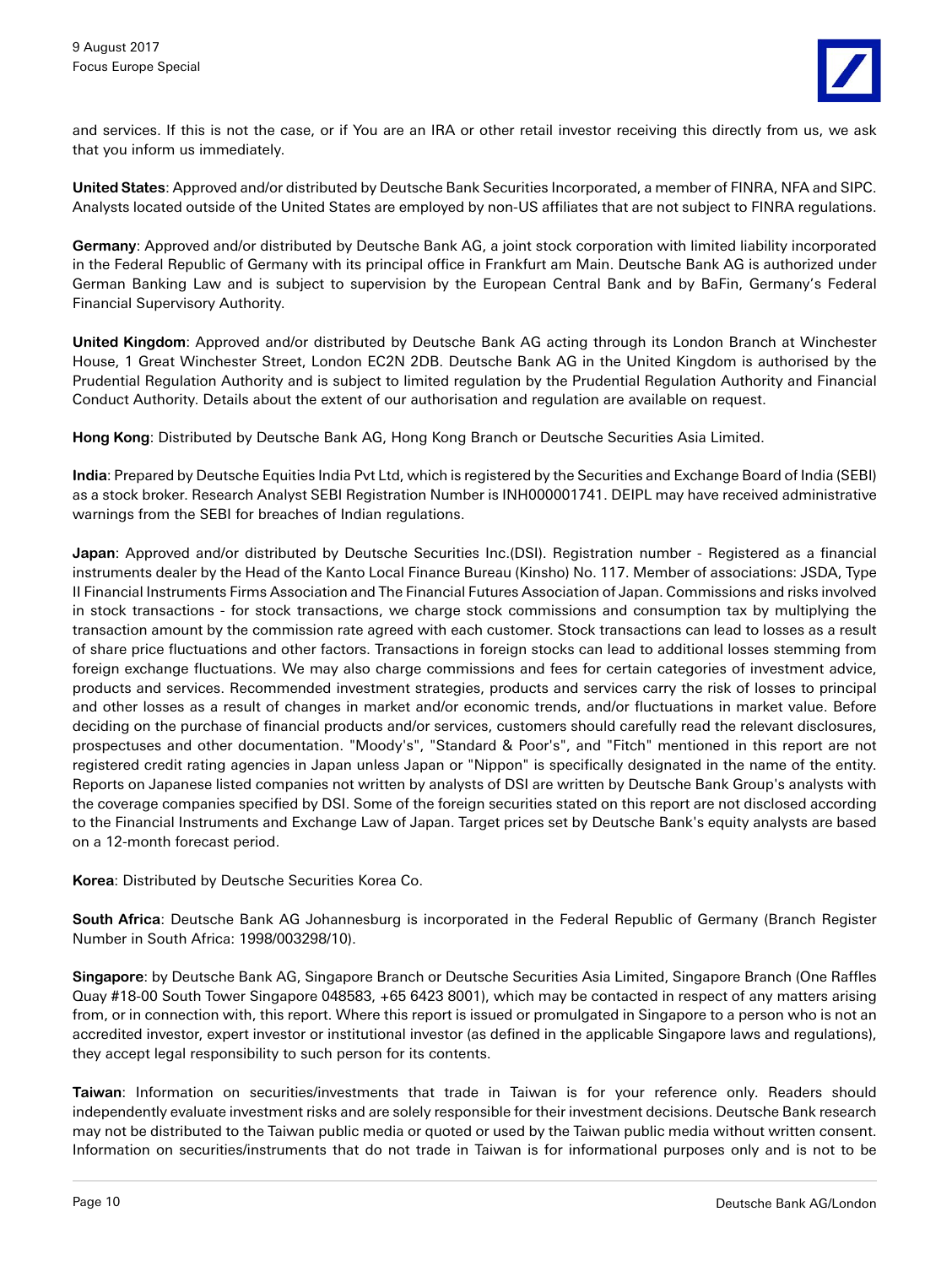and services. If this is not the case, or if You are an IRA or other retail investor receiving this directly from us, we ask that you inform us immediately.

**United States**: Approved and/or distributed by Deutsche Bank Securities Incorporated, a member of FINRA, NFA and SIPC. Analysts located outside of the United States are employed by non-US affiliates that are not subject to FINRA regulations.

**Germany**: Approved and/or distributed by Deutsche Bank AG, a joint stock corporation with limited liability incorporated in the Federal Republic of Germany with its principal office in Frankfurt am Main. Deutsche Bank AG is authorized under German Banking Law and is subject to supervision by the European Central Bank and by BaFin, Germany's Federal Financial Supervisory Authority.

**United Kingdom**: Approved and/or distributed by Deutsche Bank AG acting through its London Branch at Winchester House, 1 Great Winchester Street, London EC2N 2DB. Deutsche Bank AG in the United Kingdom is authorised by the Prudential Regulation Authority and is subject to limited regulation by the Prudential Regulation Authority and Financial Conduct Authority. Details about the extent of our authorisation and regulation are available on request.

**Hong Kong**: Distributed by Deutsche Bank AG, Hong Kong Branch or Deutsche Securities Asia Limited.

**India**: Prepared by Deutsche Equities India Pvt Ltd, which is registered by the Securities and Exchange Board of India (SEBI) as a stock broker. Research Analyst SEBI Registration Number is INH000001741. DEIPL may have received administrative warnings from the SEBI for breaches of Indian regulations.

**Japan**: Approved and/or distributed by Deutsche Securities Inc.(DSI). Registration number - Registered as a financial instruments dealer by the Head of the Kanto Local Finance Bureau (Kinsho) No. 117. Member of associations: JSDA, Type II Financial Instruments Firms Association and The Financial Futures Association of Japan. Commissions and risks involved in stock transactions - for stock transactions, we charge stock commissions and consumption tax by multiplying the transaction amount by the commission rate agreed with each customer. Stock transactions can lead to losses as a result of share price fluctuations and other factors. Transactions in foreign stocks can lead to additional losses stemming from foreign exchange fluctuations. We may also charge commissions and fees for certain categories of investment advice, products and services. Recommended investment strategies, products and services carry the risk of losses to principal and other losses as a result of changes in market and/or economic trends, and/or fluctuations in market value. Before deciding on the purchase of financial products and/or services, customers should carefully read the relevant disclosures, prospectuses and other documentation. "Moody's", "Standard & Poor's", and "Fitch" mentioned in this report are not registered credit rating agencies in Japan unless Japan or "Nippon" is specifically designated in the name of the entity. Reports on Japanese listed companies not written by analysts of DSI are written by Deutsche Bank Group's analysts with the coverage companies specified by DSI. Some of the foreign securities stated on this report are not disclosed according to the Financial Instruments and Exchange Law of Japan. Target prices set by Deutsche Bank's equity analysts are based on a 12-month forecast period.

**Korea**: Distributed by Deutsche Securities Korea Co.

**South Africa**: Deutsche Bank AG Johannesburg is incorporated in the Federal Republic of Germany (Branch Register Number in South Africa: 1998/003298/10).

**Singapore**: by Deutsche Bank AG, Singapore Branch or Deutsche Securities Asia Limited, Singapore Branch (One Raffles Quay #18-00 South Tower Singapore 048583, +65 6423 8001), which may be contacted in respect of any matters arising from, or in connection with, this report. Where this report is issued or promulgated in Singapore to a person who is not an accredited investor, expert investor or institutional investor (as defined in the applicable Singapore laws and regulations), they accept legal responsibility to such person for its contents.

**Taiwan**: Information on securities/investments that trade in Taiwan is for your reference only. Readers should independently evaluate investment risks and are solely responsible for their investment decisions. Deutsche Bank research may not be distributed to the Taiwan public media or quoted or used by the Taiwan public media without written consent. Information on securities/instruments that do not trade in Taiwan is for informational purposes only and is not to be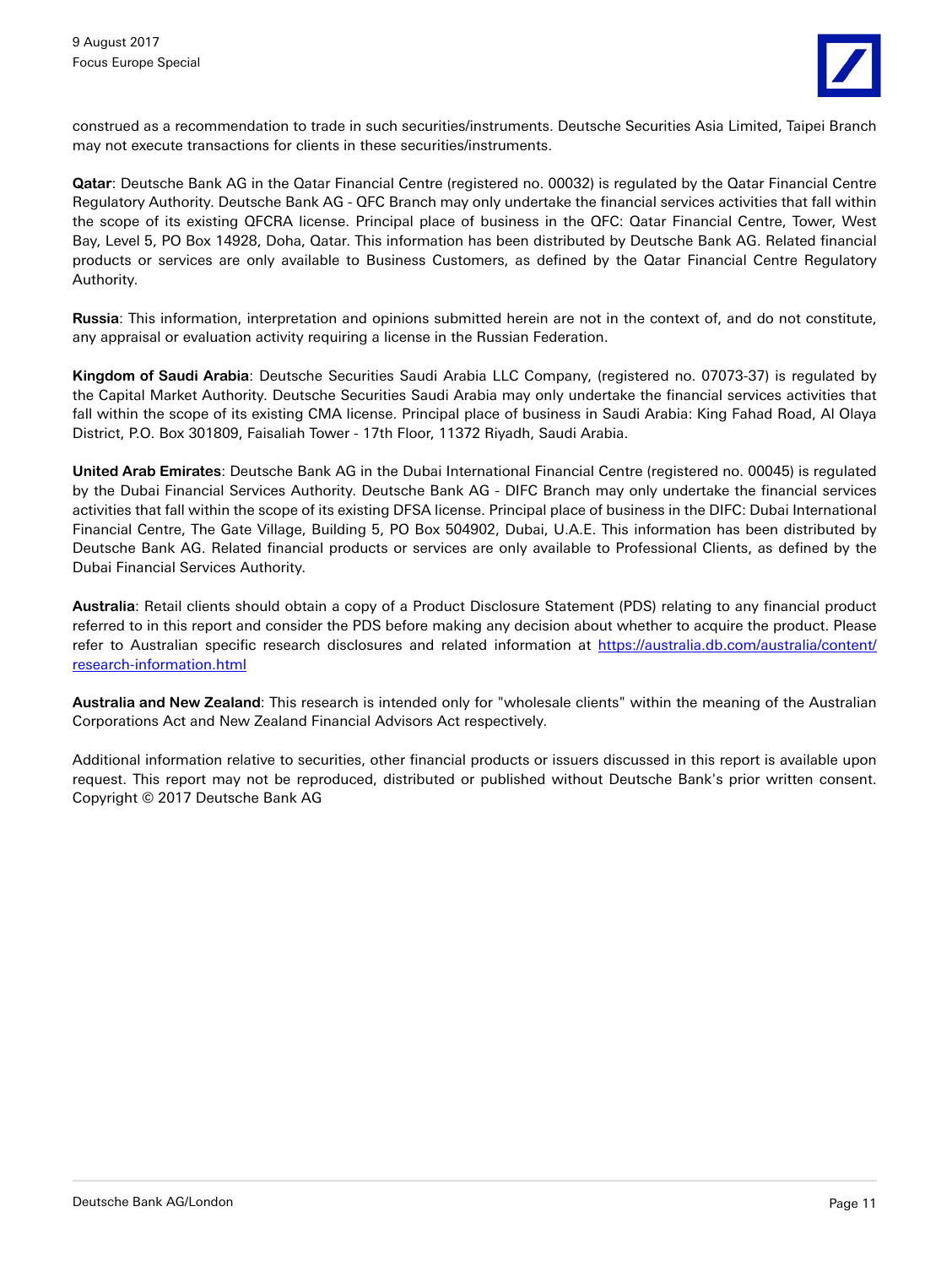![](_page_10_Picture_1.jpeg)

construed as a recommendation to trade in such securities/instruments. Deutsche Securities Asia Limited, Taipei Branch may not execute transactions for clients in these securities/instruments.

**Qatar**: Deutsche Bank AG in the Qatar Financial Centre (registered no. 00032) is regulated by the Qatar Financial Centre Regulatory Authority. Deutsche Bank AG - QFC Branch may only undertake the financial services activities that fall within the scope of its existing QFCRA license. Principal place of business in the QFC: Qatar Financial Centre, Tower, West Bay, Level 5, PO Box 14928, Doha, Qatar. This information has been distributed by Deutsche Bank AG. Related financial products or services are only available to Business Customers, as defined by the Qatar Financial Centre Regulatory Authority.

**Russia**: This information, interpretation and opinions submitted herein are not in the context of, and do not constitute, any appraisal or evaluation activity requiring a license in the Russian Federation.

**Kingdom of Saudi Arabia**: Deutsche Securities Saudi Arabia LLC Company, (registered no. 07073-37) is regulated by the Capital Market Authority. Deutsche Securities Saudi Arabia may only undertake the financial services activities that fall within the scope of its existing CMA license. Principal place of business in Saudi Arabia: King Fahad Road, Al Olaya District, P.O. Box 301809, Faisaliah Tower - 17th Floor, 11372 Riyadh, Saudi Arabia.

**United Arab Emirates**: Deutsche Bank AG in the Dubai International Financial Centre (registered no. 00045) is regulated by the Dubai Financial Services Authority. Deutsche Bank AG - DIFC Branch may only undertake the financial services activities that fall within the scope of its existing DFSA license. Principal place of business in the DIFC: Dubai International Financial Centre, The Gate Village, Building 5, PO Box 504902, Dubai, U.A.E. This information has been distributed by Deutsche Bank AG. Related financial products or services are only available to Professional Clients, as defined by the Dubai Financial Services Authority.

**Australia**: Retail clients should obtain a copy of a Product Disclosure Statement (PDS) relating to any financial product referred to in this report and consider the PDS before making any decision about whether to acquire the product. Please refer to Australian specific research disclosures and related information at [https://australia.db.com/australia/content/](https://australia.db.com/australia/content/research-information.html) [research-information.html](https://australia.db.com/australia/content/research-information.html)

**Australia and New Zealand**: This research is intended only for "wholesale clients" within the meaning of the Australian Corporations Act and New Zealand Financial Advisors Act respectively.

Additional information relative to securities, other financial products or issuers discussed in this report is available upon request. This report may not be reproduced, distributed or published without Deutsche Bank's prior written consent. Copyright © 2017 Deutsche Bank AG